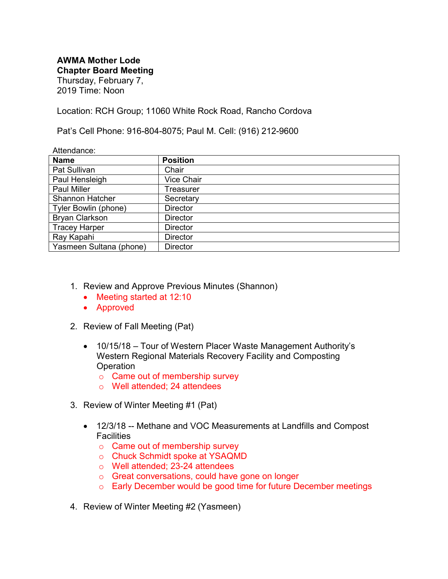**AWMA Mother Lode Chapter Board Meeting** Thursday, February 7, 2019 Time: Noon

Location: RCH Group; 11060 White Rock Road, Rancho Cordova

Pat's Cell Phone: 916-804-8075; Paul M. Cell: (916) 212-9600

| Attendance:             |                   |
|-------------------------|-------------------|
| <b>Name</b>             | <b>Position</b>   |
| Pat Sullivan            | Chair             |
| Paul Hensleigh          | <b>Vice Chair</b> |
| <b>Paul Miller</b>      | Treasurer         |
| <b>Shannon Hatcher</b>  | Secretary         |
| Tyler Bowlin (phone)    | <b>Director</b>   |
| <b>Bryan Clarkson</b>   | <b>Director</b>   |
| <b>Tracey Harper</b>    | <b>Director</b>   |
| Ray Kapahi              | <b>Director</b>   |
| Yasmeen Sultana (phone) | <b>Director</b>   |

- 1. Review and Approve Previous Minutes (Shannon)
	- Meeting started at 12:10
	- Approved
- 2. Review of Fall Meeting (Pat)
	- 10/15/18 Tour of Western Placer Waste Management Authority's Western Regional Materials Recovery Facility and Composting **Operation** 
		- o Came out of membership survey
		- o Well attended; 24 attendees
- 3. Review of Winter Meeting #1 (Pat)
	- 12/3/18 -- Methane and VOC Measurements at Landfills and Compost **Facilities** 
		- o Came out of membership survey
		- o Chuck Schmidt spoke at YSAQMD
		- o Well attended; 23-24 attendees
		- o Great conversations, could have gone on longer
		- o Early December would be good time for future December meetings
- 4. Review of Winter Meeting #2 (Yasmeen)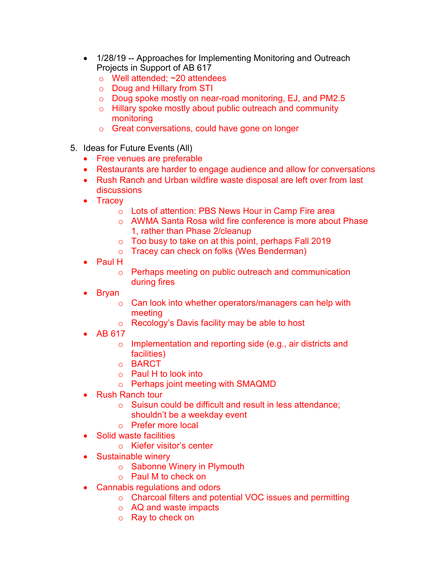- 1/28/19 -- Approaches for Implementing Monitoring and Outreach Projects in Support of AB 617
	- o Well attended; ~20 attendees
	- o Doug and Hillary from STI
	- o Doug spoke mostly on near-road monitoring, EJ, and PM2.5
	- o Hillary spoke mostly about public outreach and community monitoring
	- o Great conversations, could have gone on longer
- 5. Ideas for Future Events (All)
	- Free venues are preferable
	- Restaurants are harder to engage audience and allow for conversations
	- Rush Ranch and Urban wildfire waste disposal are left over from last discussions
	- Tracey
		- o Lots of attention: PBS News Hour in Camp Fire area
		- o AWMA Santa Rosa wild fire conference is more about Phase 1, rather than Phase 2/cleanup
		- o Too busy to take on at this point, perhaps Fall 2019
		- o Tracey can check on folks (Wes Benderman)
	- Paul H
		- o Perhaps meeting on public outreach and communication during fires
	- Bryan
		- o Can look into whether operators/managers can help with meeting
		- o Recology's Davis facility may be able to host
	- AB 617
		- o Implementation and reporting side (e.g., air districts and facilities)
		- o BARCT
		- o Paul H to look into
		- o Perhaps joint meeting with SMAQMD
	- Rush Ranch tour
		- o Suisun could be difficult and result in less attendance; shouldn't be a weekday event
		-
		- o Prefer more local
	- Solid waste facilities
		- o Kiefer visitor's center
	- Sustainable winery
		- o Sabonne Winery in Plymouth
		- o Paul M to check on
	- Cannabis regulations and odors
		- o Charcoal filters and potential VOC issues and permitting
		- o AQ and waste impacts
		- o Ray to check on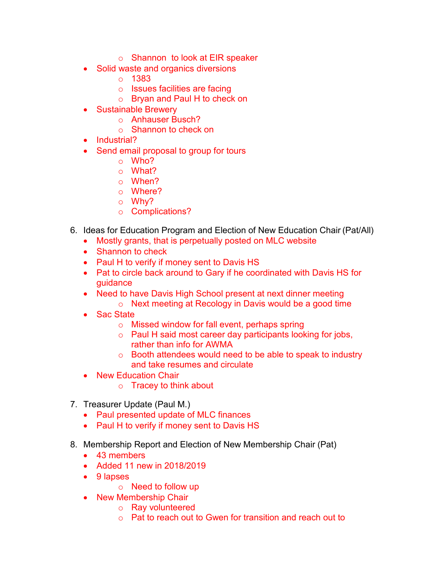- o Shannon to look at EIR speaker
- Solid waste and organics diversions
	- o 1383
	- o Issues facilities are facing
	- o Bryan and Paul H to check on
- Sustainable Brewery
	- o Anhauser Busch?
	- o Shannon to check on
- Industrial?
- Send email proposal to group for tours
	- o Who?
	- o What?
	- o When?
	- o Where?
	- o Why?
	- o Complications?
- 6. Ideas for Education Program and Election of New Education Chair (Pat/All)
	- Mostly grants, that is perpetually posted on MLC website
	- Shannon to check
	- Paul H to verify if money sent to Davis HS
	- Pat to circle back around to Gary if he coordinated with Davis HS for guidance
	- Need to have Davis High School present at next dinner meeting
		- o Next meeting at Recology in Davis would be a good time
	- Sac State
		- o Missed window for fall event, perhaps spring
		- o Paul H said most career day participants looking for jobs, rather than info for AWMA
		- o Booth attendees would need to be able to speak to industry and take resumes and circulate
	- New Education Chair
		- o Tracey to think about
- 7. Treasurer Update (Paul M.)
	- Paul presented update of MLC finances
	- Paul H to verify if money sent to Davis HS
- 8. Membership Report and Election of New Membership Chair (Pat)
	- 43 members
	- Added 11 new in 2018/2019
	- 9 lapses
		- o Need to follow up
	- New Membership Chair
		- o Ray volunteered
		- $\circ$  Pat to reach out to Gwen for transition and reach out to